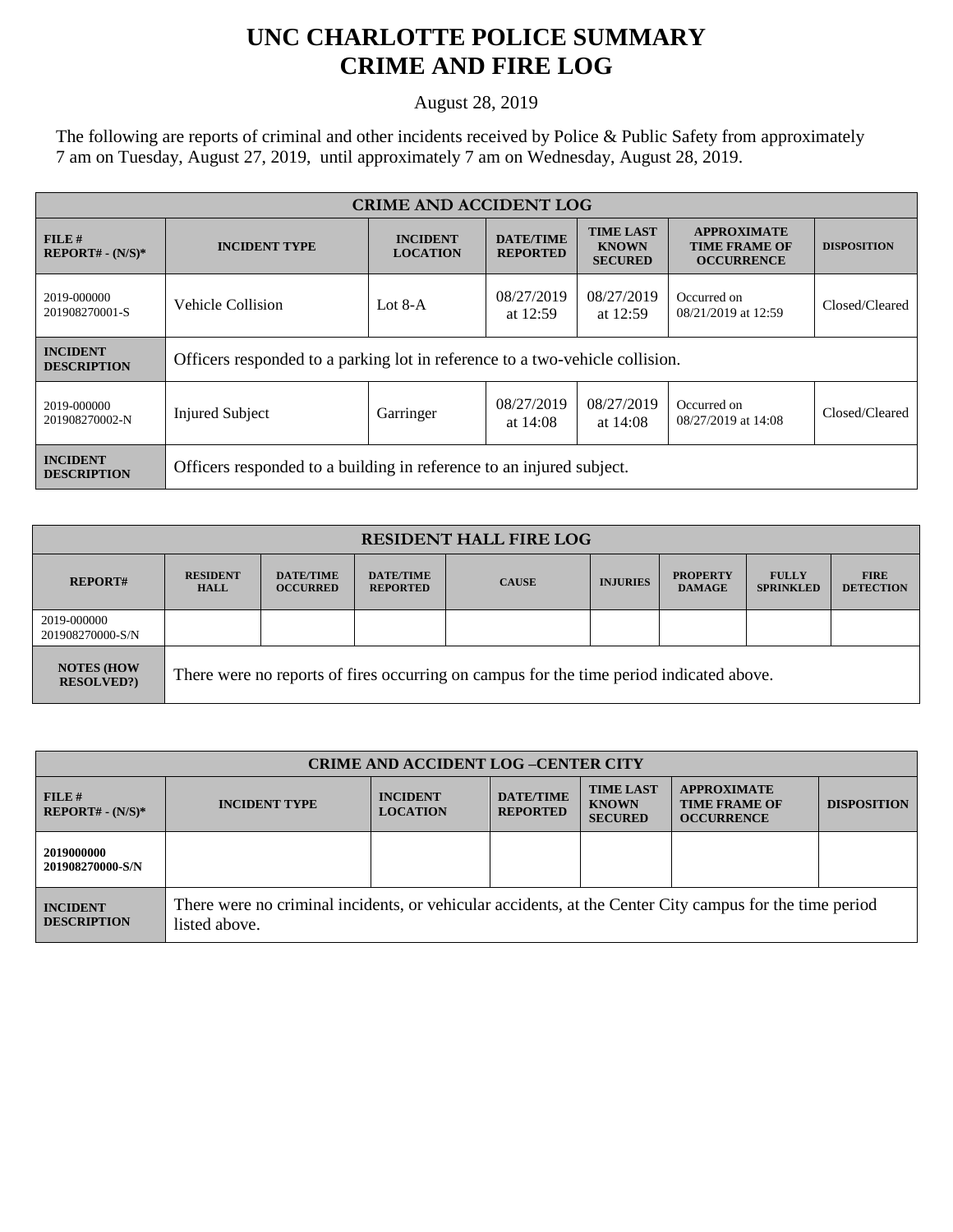## **UNC CHARLOTTE POLICE SUMMARY CRIME AND FIRE LOG**

August 28, 2019

The following are reports of criminal and other incidents received by Police & Public Safety from approximately 7 am on Tuesday, August 27, 2019, until approximately 7 am on Wednesday, August 28, 2019.

| <b>CRIME AND ACCIDENT LOG</b>         |                                                                              |                                    |                                     |                                                    |                                                                 |                    |
|---------------------------------------|------------------------------------------------------------------------------|------------------------------------|-------------------------------------|----------------------------------------------------|-----------------------------------------------------------------|--------------------|
| FILE H<br>$REPORT# - (N/S)*$          | <b>INCIDENT TYPE</b>                                                         | <b>INCIDENT</b><br><b>LOCATION</b> | <b>DATE/TIME</b><br><b>REPORTED</b> | <b>TIME LAST</b><br><b>KNOWN</b><br><b>SECURED</b> | <b>APPROXIMATE</b><br><b>TIME FRAME OF</b><br><b>OCCURRENCE</b> | <b>DISPOSITION</b> |
| 2019-000000<br>201908270001-S         | Vehicle Collision                                                            | Lot $8-A$                          | 08/27/2019<br>at $12:59$            | 08/27/2019<br>at $12:59$                           | Occurred on<br>08/21/2019 at 12:59                              | Closed/Cleared     |
| <b>INCIDENT</b><br><b>DESCRIPTION</b> | Officers responded to a parking lot in reference to a two-vehicle collision. |                                    |                                     |                                                    |                                                                 |                    |
| 2019-000000<br>201908270002-N         | Injured Subject                                                              | Garringer                          | 08/27/2019<br>at $14:08$            | 08/27/2019<br>at $14:08$                           | Occurred on<br>08/27/2019 at 14:08                              | Closed/Cleared     |
| <b>INCIDENT</b><br><b>DESCRIPTION</b> | Officers responded to a building in reference to an injured subject.         |                                    |                                     |                                                    |                                                                 |                    |

| <b>RESIDENT HALL FIRE LOG</b>         |                                                                                         |                                     |                                     |              |                 |                                  |                                  |                                 |
|---------------------------------------|-----------------------------------------------------------------------------------------|-------------------------------------|-------------------------------------|--------------|-----------------|----------------------------------|----------------------------------|---------------------------------|
| <b>REPORT#</b>                        | <b>RESIDENT</b><br><b>HALL</b>                                                          | <b>DATE/TIME</b><br><b>OCCURRED</b> | <b>DATE/TIME</b><br><b>REPORTED</b> | <b>CAUSE</b> | <b>INJURIES</b> | <b>PROPERTY</b><br><b>DAMAGE</b> | <b>FULLY</b><br><b>SPRINKLED</b> | <b>FIRE</b><br><b>DETECTION</b> |
| 2019-000000<br>201908270000-S/N       |                                                                                         |                                     |                                     |              |                 |                                  |                                  |                                 |
| <b>NOTES (HOW</b><br><b>RESOLVED?</b> | There were no reports of fires occurring on campus for the time period indicated above. |                                     |                                     |              |                 |                                  |                                  |                                 |

| <b>CRIME AND ACCIDENT LOG-CENTER CITY</b> |                                                                                                                          |                                    |                                     |                                                    |                                                                 |                    |  |
|-------------------------------------------|--------------------------------------------------------------------------------------------------------------------------|------------------------------------|-------------------------------------|----------------------------------------------------|-----------------------------------------------------------------|--------------------|--|
| FILE#<br>$REPORT# - (N/S)*$               | <b>INCIDENT TYPE</b>                                                                                                     | <b>INCIDENT</b><br><b>LOCATION</b> | <b>DATE/TIME</b><br><b>REPORTED</b> | <b>TIME LAST</b><br><b>KNOWN</b><br><b>SECURED</b> | <b>APPROXIMATE</b><br><b>TIME FRAME OF</b><br><b>OCCURRENCE</b> | <b>DISPOSITION</b> |  |
| 2019000000<br>201908270000-S/N            |                                                                                                                          |                                    |                                     |                                                    |                                                                 |                    |  |
| <b>INCIDENT</b><br><b>DESCRIPTION</b>     | There were no criminal incidents, or vehicular accidents, at the Center City campus for the time period<br>listed above. |                                    |                                     |                                                    |                                                                 |                    |  |